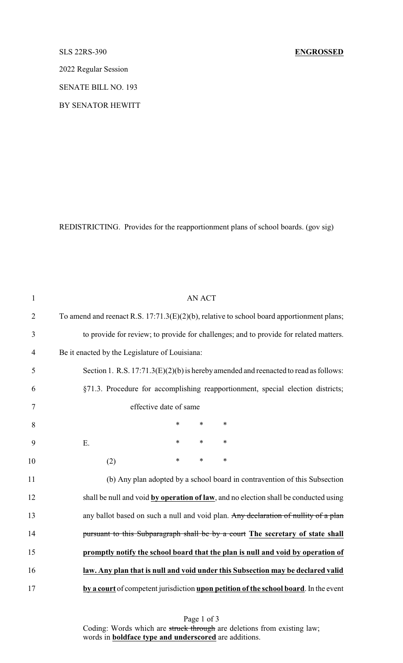## SLS 22RS-390 **ENGROSSED**

2022 Regular Session

SENATE BILL NO. 193

BY SENATOR HEWITT

REDISTRICTING. Provides for the reapportionment plans of school boards. (gov sig)

| $\mathbf{1}$   | <b>AN ACT</b>                                                                                |
|----------------|----------------------------------------------------------------------------------------------|
| $\overline{2}$ | To amend and reenact R.S. $17:71.3(E)(2)(b)$ , relative to school board apportionment plans; |
| 3              | to provide for review; to provide for challenges; and to provide for related matters.        |
| $\overline{4}$ | Be it enacted by the Legislature of Louisiana:                                               |
| 5              | Section 1. R.S. $17:71.3(E)(2)(b)$ is hereby amended and reenacted to read as follows:       |
| 6              | §71.3. Procedure for accomplishing reapportionment, special election districts;              |
| $\tau$         | effective date of same                                                                       |
| 8              | *<br>$\ast$<br>$\ast$                                                                        |
| 9              | Ε.<br>$\ast$<br>$\ast$<br>$\ast$                                                             |
| 10             | $\ast$<br>$\ast$<br>$\ast$<br>(2)                                                            |
| 11             | (b) Any plan adopted by a school board in contravention of this Subsection                   |
| 12             | shall be null and void by operation of law, and no election shall be conducted using         |
| 13             | any ballot based on such a null and void plan. Any declaration of nullity of a plan          |
| 14             | pursuant to this Subparagraph shall be by a court The secretary of state shall               |
| 15             | promptly notify the school board that the plan is null and void by operation of              |
| 16             | law. Any plan that is null and void under this Subsection may be declared valid              |
| 17             | by a court of competent jurisdiction upon petition of the school board. In the event         |

Page 1 of 3 Coding: Words which are struck through are deletions from existing law; words in **boldface type and underscored** are additions.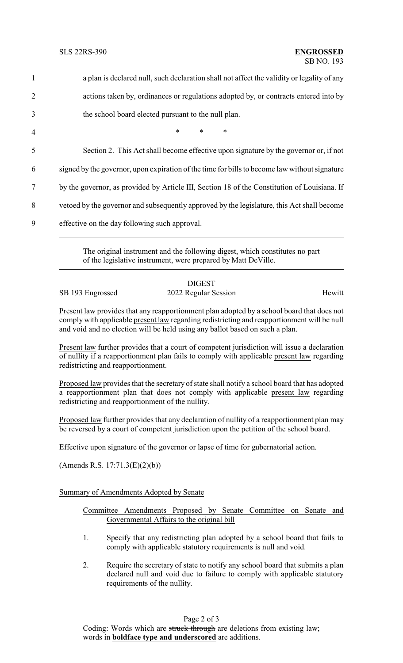| $\mathbf{1}$   | a plan is declared null, such declaration shall not affect the validity or legality of any    |
|----------------|-----------------------------------------------------------------------------------------------|
| $\overline{2}$ | actions taken by, ordinances or regulations adopted by, or contracts entered into by          |
| $\overline{3}$ | the school board elected pursuant to the null plan.                                           |
| 4              | $\ast$<br>$\ast$<br>∗                                                                         |
| 5              | Section 2. This Act shall become effective upon signature by the governor or, if not          |
| 6              | signed by the governor, upon expiration of the time for bills to become law without signature |
| 7              | by the governor, as provided by Article III, Section 18 of the Constitution of Louisiana. If  |
| 8              | vetoed by the governor and subsequently approved by the legislature, this Act shall become    |
| 9              | effective on the day following such approval.                                                 |

The original instrument and the following digest, which constitutes no part of the legislative instrument, were prepared by Matt DeVille.

# DIGEST

SB 193 Engrossed 2022 Regular Session Hewitt

Present law provides that any reapportionment plan adopted by a school board that does not comply with applicable present law regarding redistricting and reapportionment will be null and void and no election will be held using any ballot based on such a plan.

Present law further provides that a court of competent jurisdiction will issue a declaration of nullity if a reapportionment plan fails to comply with applicable present law regarding redistricting and reapportionment.

Proposed law provides that the secretary of state shall notify a school board that has adopted a reapportionment plan that does not comply with applicable present law regarding redistricting and reapportionment of the nullity.

Proposed law further provides that any declaration of nullity of a reapportionment plan may be reversed by a court of competent jurisdiction upon the petition of the school board.

Effective upon signature of the governor or lapse of time for gubernatorial action.

(Amends R.S. 17:71.3(E)(2)(b))

### Summary of Amendments Adopted by Senate

### Committee Amendments Proposed by Senate Committee on Senate and Governmental Affairs to the original bill

- 1. Specify that any redistricting plan adopted by a school board that fails to comply with applicable statutory requirements is null and void.
- 2. Require the secretary of state to notify any school board that submits a plan declared null and void due to failure to comply with applicable statutory requirements of the nullity.

Page 2 of 3

Coding: Words which are struck through are deletions from existing law; words in **boldface type and underscored** are additions.